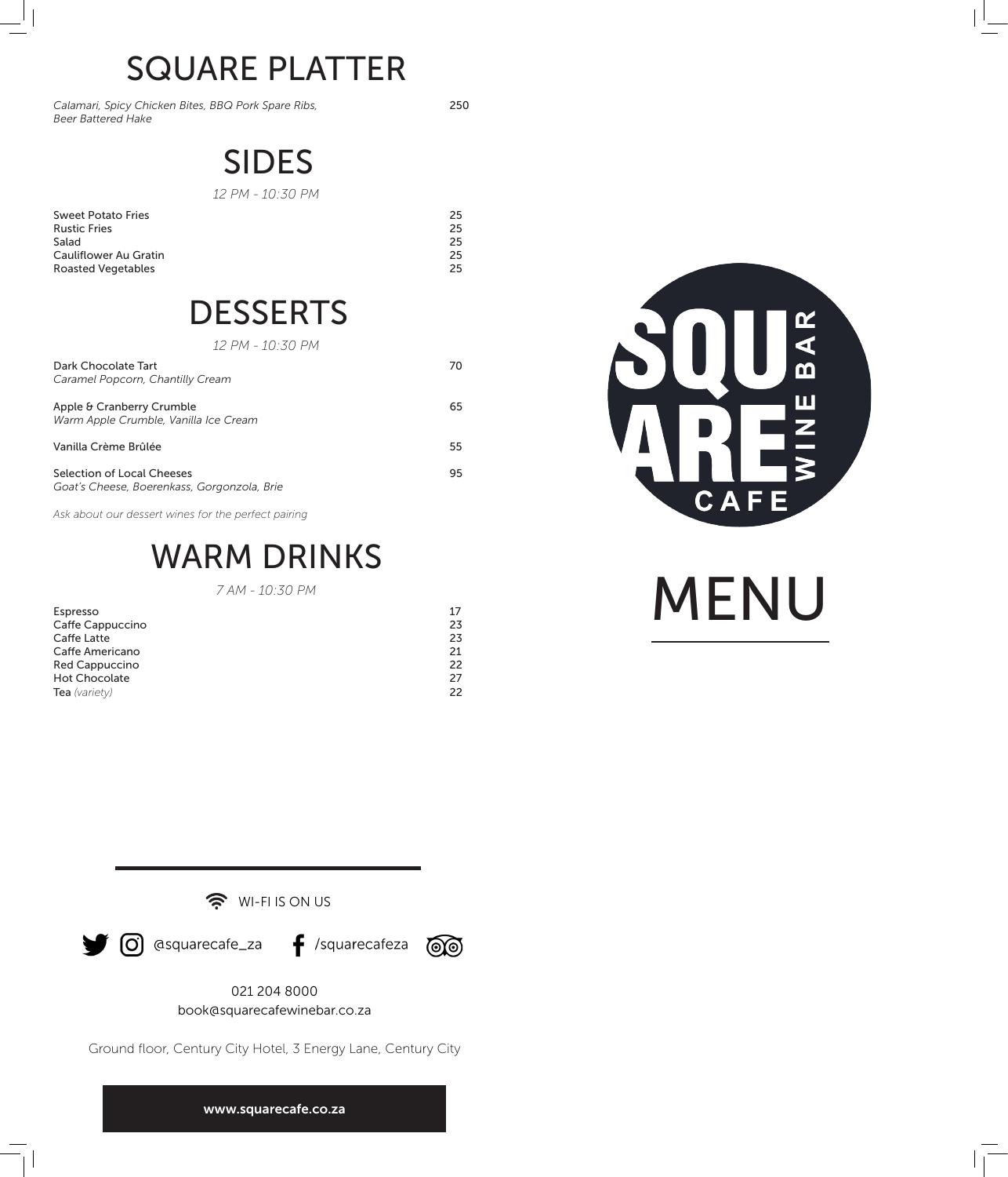# SQUARE PLATTER

*Calamari, Spicy Chicken Bites, BBQ Pork Spare Ribs, Beer Battered Hake*

250

### SIDES

*12 PM - 10:30 PM*

Sweet Potato Fries Rustic Fries Salad Cauliflower Au Gratin Roasted Vegetables

## **DESSERTS**

*12 PM - 10:30 PM*

| Dark Chocolate Tart<br>Caramel Popcorn, Chantilly Cream                   | 70 |
|---------------------------------------------------------------------------|----|
| Apple & Cranberry Crumble<br>Warm Apple Crumble, Vanilla Ice Cream        | 65 |
| Vanilla Crème Brûlée                                                      | 55 |
| Selection of Local Cheeses<br>Goat's Cheese, Boerenkass, Gorgonzola, Brie | 95 |

*Ask about our dessert wines for the perfect pairing*

### WARM DRINKS

*7 AM - 10:30 PM*

| Espresso              | 17           |
|-----------------------|--------------|
| Caffe Cappuccino      | 23.          |
| Caffe Latte           | 23           |
| Caffe Americano       | 21.          |
| <b>Red Cappuccino</b> | 22           |
| <b>Hot Chocolate</b>  | 27           |
| Tea (variety)         | $22^{\circ}$ |



MENU

(O) @squarecafe\_za f /squarecafeza

WI-FI IS ON US

<u>ම්ම</u>

021 204 8000 book@squarecafewinebar.co.za

Ground floor, Century City Hotel, 3 Energy Lane, Century City

www.squarecafe.co.za